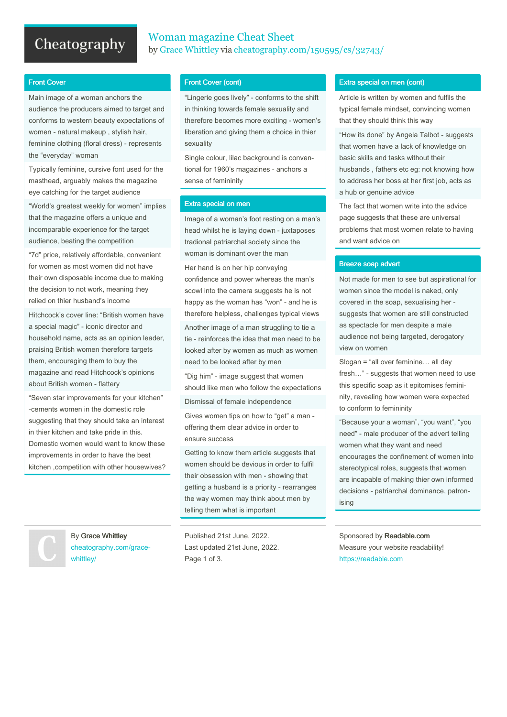# Cheatography

### Woman magazine Cheat Sheet by Grace [Whittley](http://www.cheatography.com/grace-whittley/) via [cheatography.com/150595/cs/32743/](http://www.cheatography.com/grace-whittley/cheat-sheets/woman-magazine)

### Front Cover

Main image of a woman anchors the audience the producers aimed to target and conforms to western beauty expectations of women - natural makeup , stylish hair, feminine clothing (floral dress) - represents the "everyday" woman

Typically feminine, cursive font used for the masthead, arguably makes the magazine eye catching for the target audience

"World's greatest weekly for women" implies that the magazine offers a unique and incomparable experience for the target audience, beating the competition

"7d" price, relatively affordable, convenient for women as most women did not have their own disposable income due to making the decision to not work, meaning they relied on thier husband's income

Hitchcock's cover line: "British women have a special magic" - iconic director and household name, acts as an opinion leader, praising British women therefore targets them, encouraging them to buy the magazine and read Hitchcock's opinions about British women - flattery

"Seven star improvements for your kitchen" -cements women in the domestic role suggesting that they should take an interest in thier kitchen and take pride in this. Domestic women would want to know these improvements in order to have the best kitchen ,competition with other housewives?

By Grace Whittley [cheatography.com/grace](http://www.cheatography.com/grace-whittley/)whittley/

### Front Cover (cont)

"Lingerie goes lively" - conforms to the shift in thinking towards female sexuality and therefore becomes more exciting - women's liberation and giving them a choice in thier sexuality

Single colour, lilac background is conven‐ tional for 1960's magazines - anchors a sense of femininity

#### Extra special on men

Image of a woman's foot resting on a man's head whilst he is laying down - juxtaposes tradional patriarchal society since the woman is dominant over the man

Her hand is on her hip conveying confidence and power whereas the man's scowl into the camera suggests he is not happy as the woman has "won" - and he is therefore helpless, challenges typical views Another image of a man struggling to tie a tie - reinforces the idea that men need to be looked after by women as much as women need to be looked after by men

"Dig him" - image suggest that women should like men who follow the expectations

Dismissal of female independence

Gives women tips on how to "get" a man offering them clear advice in order to ensure success

Getting to know them article suggests that women should be devious in order to fulfil their obsession with men - showing that getting a husband is a priority - rearranges the way women may think about men by telling them what is important

Published 21st June, 2022. Last updated 21st June, 2022. Page 1 of 3.

#### Extra special on men (cont)

Article is written by women and fulfils the typical female mindset, convincing women that they should think this way

"How its done" by Angela Talbot - suggests that women have a lack of knowledge on basic skills and tasks without their husbands , fathers etc eg: not knowing how to address her boss at her first job, acts as a hub or genuine advice

The fact that women write into the advice page suggests that these are universal problems that most women relate to having and want advice on

#### Breeze soap advert

Not made for men to see but aspirational for women since the model is naked, only covered in the soap, sexualising her suggests that women are still constructed as spectacle for men despite a male audience not being targeted, derogatory view on women

Slogan = "all over feminine… all day fresh…" - suggests that women need to use this specific soap as it epitomises femini‐ nity, revealing how women were expected to conform to femininity

"Because your a woman", "you want", "you need" - male producer of the advert telling women what they want and need encourages the confinement of women into stereotypical roles, suggests that women are incapable of making thier own informed decisions - patriarchal dominance, patron‐ ising

Sponsored by Readable.com Measure your website readability! <https://readable.com>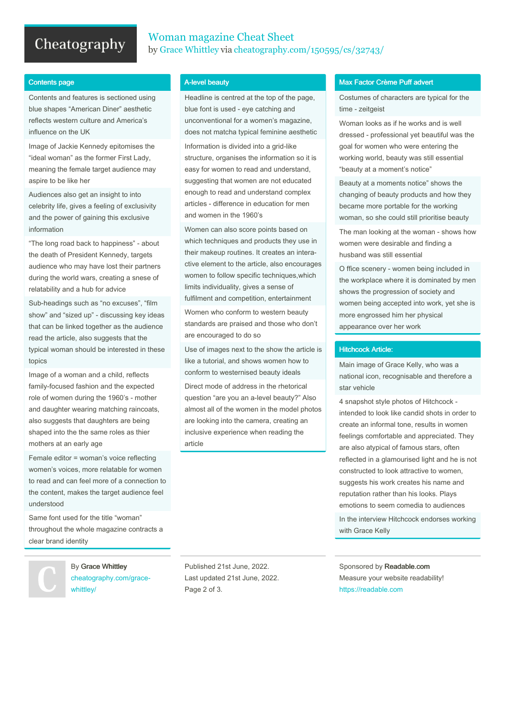# Cheatography

## Woman magazine Cheat Sheet by Grace [Whittley](http://www.cheatography.com/grace-whittley/) via [cheatography.com/150595/cs/32743/](http://www.cheatography.com/grace-whittley/cheat-sheets/woman-magazine)

#### Contents page

Contents and features is sectioned using blue shapes "American Diner" aesthetic reflects western culture and America's influence on the UK

Image of Jackie Kennedy epitomises the "ideal woman" as the former First Lady, meaning the female target audience may aspire to be like her

Audiences also get an insight to into celebrity life, gives a feeling of exclusivity and the power of gaining this exclusive information

"The long road back to happiness" - about the death of President Kennedy, targets audience who may have lost their partners during the world wars, creating a snese of relatability and a hub for advice

Sub-headings such as "no excuses", "film show" and "sized up" - discussing key ideas that can be linked together as the audience read the article, also suggests that the typical woman should be interested in these topics

Image of a woman and a child, reflects family-focused fashion and the expected role of women during the 1960's - mother and daughter wearing matching raincoats, also suggests that daughters are being shaped into the the same roles as thier mothers at an early age

Female editor = woman's voice reflecting women's voices, more relatable for women to read and can feel more of a connection to the content, makes the target audience feel understood

Same font used for the title "woman" throughout the whole magazine contracts a clear brand identity

> By Grace Whittley [cheatography.com/grace](http://www.cheatography.com/grace-whittley/)whittley/

#### A-level beauty

Headline is centred at the top of the page, blue font is used - eye catching and unconventional for a women's magazine, does not matcha typical feminine aesthetic Information is divided into a grid-like

structure, organises the information so it is easy for women to read and understand, suggesting that women are not educated enough to read and understand complex articles - difference in education for men and women in the 1960's

Women can also score points based on which techniques and products they use in their makeup routines. It creates an intera‐ ctive element to the article, also encourages women to follow specific techniques,which limits individuality, gives a sense of fulfilment and competition, entertainment

Women who conform to western beauty standards are praised and those who don't are encouraged to do so

Use of images next to the show the article is like a tutorial, and shows women how to conform to westernised beauty ideals

Direct mode of address in the rhetorical question "are you an a-level beauty?" Also almost all of the women in the model photos are looking into the camera, creating an inclusive experience when reading the article

#### Max Factor Crème Puff advert

Costumes of characters are typical for the time - zeitgeist

Woman looks as if he works and is well dressed - professional yet beautiful was the goal for women who were entering the working world, beauty was still essential "beauty at a moment's notice"

Beauty at a moments notice" shows the changing of beauty products and how they became more portable for the working woman, so she could still prioritise beauty

The man looking at the woman - shows how women were desirable and finding a husband was still essential

O ffice scenery - women being included in the workplace where it is dominated by men shows the progression of society and women being accepted into work, yet she is more engrossed him her physical appearance over her work

#### Hitchcock Article:

Main image of Grace Kelly, who was a national icon, recognisable and therefore a star vehicle

4 snapshot style photos of Hitchcock intended to look like candid shots in order to create an informal tone, results in women feelings comfortable and appreciated. They are also atypical of famous stars, often reflected in a glamourised light and he is not constructed to look attractive to women, suggests his work creates his name and reputation rather than his looks. Plays emotions to seem comedia to audiences In the interview Hitchcock endorses working with Grace Kelly

Published 21st June, 2022. Last updated 21st June, 2022. Page 2 of 3.

Sponsored by Readable.com Measure your website readability! <https://readable.com>